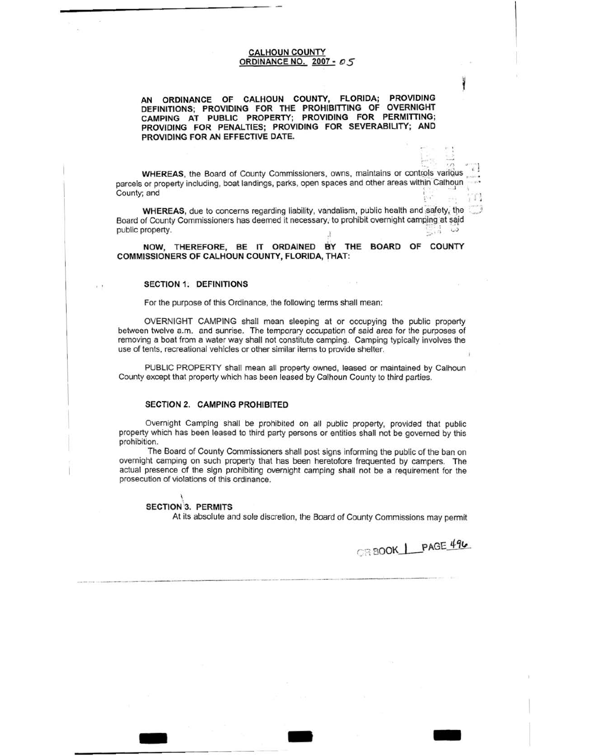CALHOUN COUNTY ORDINANCE NO. 2007 • *0* 5

AN ORDINANCE OF CALHOUN COUNTY, FLORIDA; PROVIDING DEFINITIONS; PROVIDING FOR THE PROHIBITIING OF OVERNIGHT CAMPING AT PUBLIC PROPERTY; PROVIDING FOR PERMITIING; PROVIDING FOR PENALTIES; PROVIDING FOR SEVERABILITY; AND PROVIDING FOR AN EFFECTIVE DATE.

WHEREAS, the Board of County Commissioners, owns, maintains or controls various parcels or property including, boat landings, parks, open spaces and other areas within Calhoun .<br>County; and ...

WHEREAS, due to concerns regarding liability, vandalism, public health and safety, the Board of County Commissioners has deemed it necessary, to prohibit overnight camping at said  $\Box$ public property.

NOW, THEREFORE, BE IT ORDAINED BY THE BOARD OF COUNTY COMMISSIONERS OF CALHOUN COUNTY, FLORIDA, THAT:

### SECTION 1; DEFINITIONS

For the purpose of this Ordinance, the following terms shall mean:

OVERNIGHT CAMPING shall mean sleeping at or occupying the public property between twelve a.m. and sunrise. The temporary occupation of said area for the purposes of removing a boat from a water way shall not constitute camping. Camping typically involves the use of tents, recreational vehicles or other similar items to provide shelter.

PUBLIC PROPERTY shall mean all property owned, leased or maintained by Calhoun County except that property which has been leased by Calhoun County to third parties.

## SECTION 2. CAMPING PROHIBITED

Overnight Camping shall be prohibited on all public property, provided that public property which has been leased to third party persons or entities shall not be governed by this prohibition.

The Board of County Commissioners shall post signs informing the public of the ban on overnight camping on such property that has been heretofore frequented by campers. The actual presence of the sign prohibiting overnight camping shall not be a requirement for the prosecution of violations of this ordinance.

- - -

 $\hat{f}$ SECTION 3. PERMITS

At its absolute and sole discretion, the Board of County Commissions may permit

OR BOOK | PAGE 496

. *.....*  $\sum_{i=1}^{n}$  •  $\sum_{i=1}^{n}$   $\sum_{i=1}^{n}$   $\sum_{i=1}^{n}$   $\sum_{i=1}^{n}$   $\sum_{i=1}^{n}$   $\sum_{i=1}^{n}$